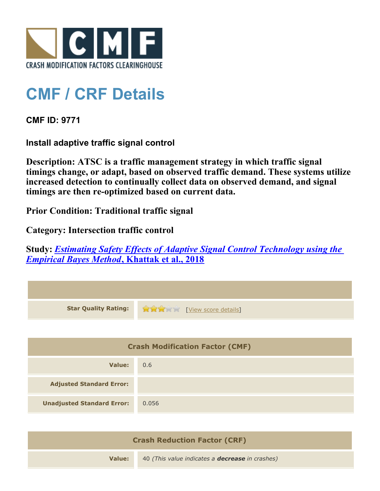

## **CMF / CRF Details**

**CMF ID: 9771**

**Install adaptive traffic signal control**

**Description: ATSC is a traffic management strategy in which traffic signal timings change, or adapt, based on observed traffic demand. These systems utilize increased detection to continually collect data on observed demand, and signal timings are then re-optimized based on current data.**

**Prior Condition: Traditional traffic signal**

**Category: Intersection traffic control**

**Study:** *[Estimating Safety Effects of Adaptive Signal Control Technology using the](http://www.cmfclearinghouse.org/study_detail.cfm?stid=545) [Empirical Bayes Method](http://www.cmfclearinghouse.org/study_detail.cfm?stid=545)***[, Khattak et al., 2018](http://www.cmfclearinghouse.org/study_detail.cfm?stid=545)**

| <b>Star Quality Rating:</b>            | View score details |
|----------------------------------------|--------------------|
|                                        |                    |
| <b>Crash Modification Factor (CMF)</b> |                    |
| Value:                                 | 0.6                |
| <b>Adjusted Standard Error:</b>        |                    |
| <b>Unadjusted Standard Error:</b>      | 0.056              |
|                                        |                    |

| <b>Crash Reduction Factor (CRF)</b> |                                                        |
|-------------------------------------|--------------------------------------------------------|
| Value:                              | 40 (This value indicates a <b>decrease</b> in crashes) |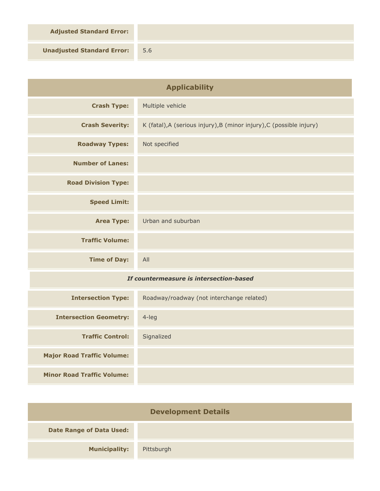**Adjusted Standard Error:**

**Unadjusted Standard Error:** 5.6

| <b>Applicability</b>                    |                                                                      |
|-----------------------------------------|----------------------------------------------------------------------|
| <b>Crash Type:</b>                      | Multiple vehicle                                                     |
| <b>Crash Severity:</b>                  | K (fatal), A (serious injury), B (minor injury), C (possible injury) |
| <b>Roadway Types:</b>                   | Not specified                                                        |
| <b>Number of Lanes:</b>                 |                                                                      |
| <b>Road Division Type:</b>              |                                                                      |
| <b>Speed Limit:</b>                     |                                                                      |
| <b>Area Type:</b>                       | Urban and suburban                                                   |
| <b>Traffic Volume:</b>                  |                                                                      |
| <b>Time of Day:</b>                     | All                                                                  |
| If countermeasure is intersection-based |                                                                      |
| <b>Intersection Type:</b>               | Roadway/roadway (not interchange related)                            |
| <b>Intersection Geometry:</b>           | $4$ -leg                                                             |
| <b>Traffic Control:</b>                 | Signalized                                                           |
| <b>Major Road Traffic Volume:</b>       |                                                                      |
| <b>Minor Road Traffic Volume:</b>       |                                                                      |

| <b>Development Details</b>      |            |  |
|---------------------------------|------------|--|
| <b>Date Range of Data Used:</b> |            |  |
| <b>Municipality:</b>            | Pittsburgh |  |